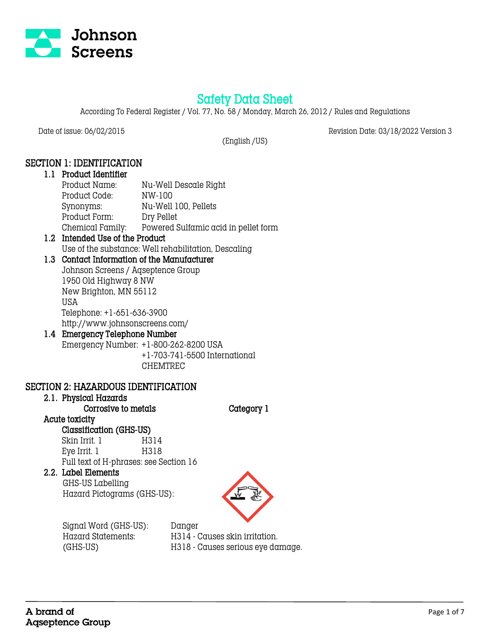

# Safety Data Sheet

According To Federal Register / Vol. 77, No. 58 / Monday, March 26, 2012 / Rules and Regulations

Date of issue: 06/02/2015 Revision Date: 03/18/2022 Version 3

(English /US)

## SECTION 1: IDENTIFICATION

### 1.1 Product Identifier Product Name: Nu-Well Descale Right Product Code: NW-100 Synonyms: Nu-Well 100, Pellets Product Form: Dry Pellet Chemical Family: Powered Sulfamic acid in pellet form

#### 1.2 Intended Use of the Product Use of the substance: Well rehabilitation, Descaling

# 1.3 Contact Information of the Manufacturer

Johnson Screens / Aqseptence Group 1950 Old Highway 8 NW New Brighton, MN 55112 USA Telephone: +1-651-636-3900 http://www.johnsonscreens.com/

#### 1.4 Emergency Telephone Number Emergency Number: +1-800-262-8200 USA

+1-703-741-5500 International CHEMTREC

### SECTION 2: HAZARDOUS IDENTIFICATION

# 2.1. Physical Hazards

Corrosive to metals Category 1

#### Acute toxicity Classification (GHS-US)

Skin Irrit. 1 H314 Eye Irrit. 1 H318 Full text of H-phrases: see Section 16

### 2.2. Label Elements

 GHS-US Labelling Hazard Pictograms (GHS-US):



 Signal Word (GHS-US): Danger Hazard Statements: H314 - Causes skin irritation.

(GHS-US) H318 - Causes serious eye damage.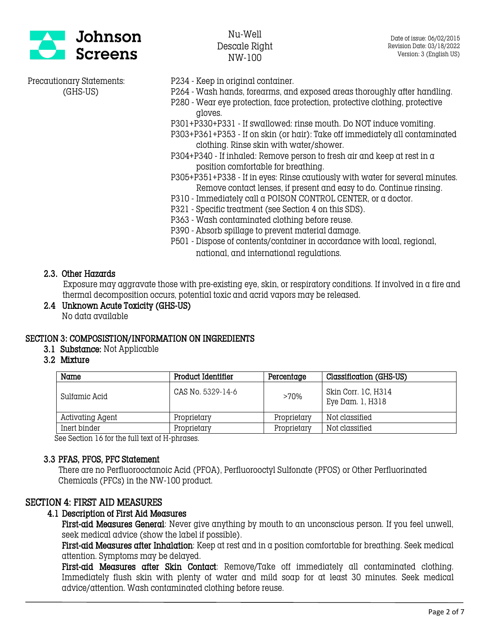

- Precautionary Statements: P234 Keep in original container.
	- (GHS-US) P264 Wash hands, forearms, and exposed areas thoroughly after handling.
		- P280 Wear eye protection, face protection, protective clothing, protective gloves.
		- P301+P330+P331 If swallowed: rinse mouth. Do NOT induce vomiting.
		- P303+P361+P353 If on skin (or hair): Take off immediately all contaminated clothing. Rinse skin with water/shower.
		- P304+P340 If inhaled: Remove person to fresh air and keep at rest in  $\alpha$ position comfortable for breathing.
		- P305+P351+P338 If in eyes: Rinse cautiously with water for several minutes. Remove contact lenses, if present and easy to do. Continue rinsing.
		- P310 Immediately call a POISON CONTROL CENTER, or a doctor.
		- P321 Specific treatment (see Section 4 on this SDS).
		- P363 Wash contaminated clothing before reuse.
		- P390 Absorb spillage to prevent material damage.
		- P501 Dispose of contents/container in accordance with local, regional, national, and international regulations.

#### 2.3. Other Hazards

 Exposure may aggravate those with pre-existing eye, skin, or respiratory conditions. If involved in a fire and thermal decomposition occurs, potential toxic and acrid vapors may be released.

2.4 Unknown Acute Toxicity (GHS-US) No data available

### SECTION 3: COMPOSISTION/INFORMATION ON INGREDIENTS

- 3.1 Substance: Not Applicable
- 3.2 Mixture

| Name             | Product Identifier | Percentage  | Classification (GHS-US)                 |
|------------------|--------------------|-------------|-----------------------------------------|
| Sulfamic Acid    | CAS No. 5329-14-6  | $>70\%$     | Skin Corr. 1C, H314<br>Eye Dam. 1, H318 |
| Activating Agent | Proprietary        | Proprietary | Not classified                          |
| Inert binder     | Proprietary        | Proprietary | Not classified                          |

See Section 16 for the full text of H-phrases.

#### 3.3 PFAS, PFOS, PFC Statement

There are no Perfluorooctanoic Acid (PFOA), Perfluorooctyl Sulfonate (PFOS) or Other Perfluorinated Chemicals (PFCs) in the NW-100 product.

### SECTION 4: FIRST AID MEASURES

#### 4.1 Description of First Aid Measures

First-aid Measures General: Never give anything by mouth to an unconscious person. If you feel unwell, seek medical advice (show the label if possible).

First-aid Measures after Inhalation: Keep at rest and in a position comfortable for breathing. Seek medical attention. Symptoms may be delayed.

First-aid Measures after Skin Contact: Remove/Take off immediately all contaminated clothing. Immediately flush skin with plenty of water and mild soap for at least 30 minutes. Seek medical advice/attention. Wash contaminated clothing before reuse.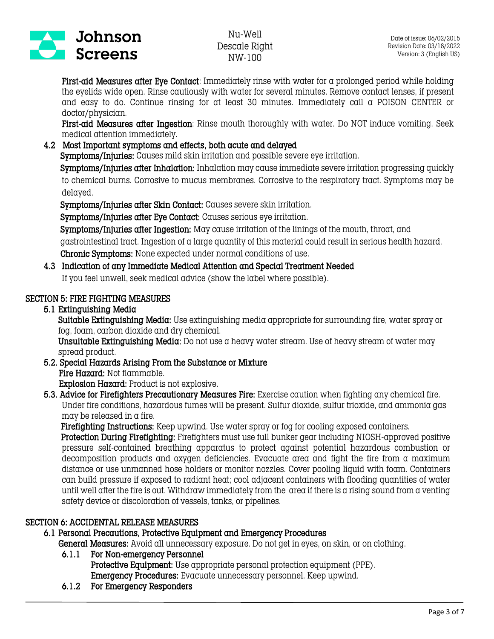

First-aid Measures after Eye Contact: Immediately rinse with water for a prolonged period while holding the eyelids wide open. Rinse cautiously with water for several minutes. Remove contact lenses, if present and easy to do. Continue rinsing for at least 30 minutes. Immediately call a POISON CENTER or doctor/physician.

First-aid Measures after Ingestion: Rinse mouth thoroughly with water. Do NOT induce vomiting. Seek medical attention immediately.

#### 4.2 Most Important symptoms and effects, both acute and delayed

Symptoms/Injuries: Causes mild skin irritation and possible severe eye irritation.

Symptoms/Injuries after Inhalation: Inhalation may cause immediate severe irritation progressing quickly to chemical burns. Corrosive to mucus membranes. Corrosive to the respiratory tract. Symptoms may be delayed.

Symptoms/Injuries after Skin Contact: Causes severe skin irritation.

Symptoms/Injuries after Eye Contact: Causes serious eye irritation.

 Symptoms/Injuries after Ingestion: May cause irritation of the linings of the mouth, throat, and gastrointestinal tract. Ingestion of a large quantity of this material could result in serious health hazard. Chronic Symptoms: None expected under normal conditions of use.

# 4.3 Indication of any Immediate Medical Attention and Special Treatment Needed

If you feel unwell, seek medical advice (show the label where possible).

## SECTION 5: FIRE FIGHTING MEASURES

## 5.1 Extinguishing Media

Suitable Extinguishing Media: Use extinguishing media appropriate for surrounding fire, water spray or fog, foam, carbon dioxide and dry chemical.

Unsuitable Extinguishing Media: Do not use a heavy water stream. Use of heavy stream of water may spread product.

5.2. Special Hazards Arising From the Substance or Mixture Fire Hazard: Not flammable. Explosion Hazard: Product is not explosive.

5.3. Advice for Firefighters Precautionary Measures Fire: Exercise caution when fighting any chemical fire. Under fire conditions, hazardous fumes will be present. Sulfur dioxide, sulfur trioxide, and ammonia gas may be released in a fire.

Firefighting Instructions: Keep upwind. Use water spray or fog for cooling exposed containers.

 Protection During Firefighting: Firefighters must use full bunker gear including NIOSH-approved positive pressure self-contained breathing apparatus to protect against potential hazardous combustion or decomposition products and oxygen deficiencies. Evacuate area and fight the fire from a maximum distance or use unmanned hose holders or monitor nozzles. Cover pooling liquid with foam. Containers can build pressure if exposed to radiant heat; cool adjacent containers with flooding quantities of water until well after the fire is out. Withdraw immediately from the area if there is a rising sound from a venting safety device or discoloration of vessels, tanks, or pipelines.

### SECTION 6: ACCIDENTAL RELEASE MEASURES

### 6.1 Personal Precautions, Protective Equipment and Emergency Procedures

General Measures: Avoid all unnecessary exposure. Do not get in eyes, on skin, or on clothing.

### 6.1.1 For Non-emergency Personnel

Protective Equipment: Use appropriate personal protection equipment (PPE). Emergency Procedures: Evacuate unnecessary personnel. Keep upwind.

6.1.2 For Emergency Responders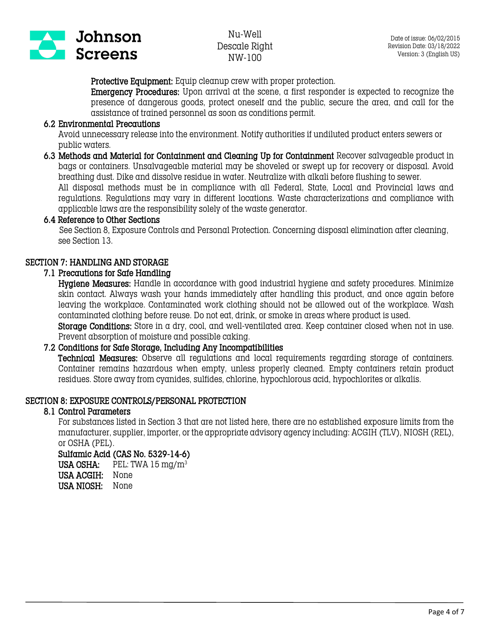

Protective Equipment: Equip cleanup crew with proper protection.

Emergency Procedures: Upon arrival at the scene, a first responder is expected to recognize the presence of dangerous goods, protect oneself and the public, secure the area, and call for the assistance of trained personnel as soon as conditions permit.

#### 6.2 Environmental Precautions

Avoid unnecessary release into the environment. Notify authorities if undiluted product enters sewers or public waters.

6.3 Methods and Material for Containment and Cleaning Up for Containment Recover salvageable product in bags or containers. Unsalvageable material may be shoveled or swept up for recovery or disposal. Avoid breathing dust. Dike and dissolve residue in water. Neutralize with alkali before flushing to sewer.

All disposal methods must be in compliance with all Federal, State, Local and Provincial laws and regulations. Regulations may vary in different locations. Waste characterizations and compliance with applicable laws are the responsibility solely of the waste generator.

#### 6.4 Reference to Other Sections

 See Section 8, Exposure Controls and Personal Protection. Concerning disposal elimination after cleaning, see Section 13.

#### SECTION 7: HANDLING AND STORAGE

#### 7.1 Precautions for Safe Handling

Hygiene Measures: Handle in accordance with good industrial hygiene and safety procedures. Minimize skin contact. Always wash your hands immediately after handling this product, and once again before leaving the workplace. Contaminated work clothing should not be allowed out of the workplace. Wash contaminated clothing before reuse. Do not eat, drink, or smoke in areas where product is used.

Storage Conditions: Store in a dry, cool, and well-ventilated area. Keep container closed when not in use. Prevent absorption of moisture and possible caking.

#### 7.2 Conditions for Safe Storage, Including Any Incompatibilities

Technical Measures: Observe all regulations and local requirements regarding storage of containers. Container remains hazardous when empty, unless properly cleaned. Empty containers retain product residues. Store away from cyanides, sulfides, chlorine, hypochlorous acid, hypochlorites or alkalis.

#### SECTION 8: EXPOSURE CONTROLS/PERSONAL PROTECTION

#### 8.1 Control Parameters

For substances listed in Section 3 that are not listed here, there are no established exposure limits from the manufacturer, supplier, importer, or the appropriate advisory agency including: ACGIH (TLV), NIOSH (REL), or OSHA (PEL).

#### Sulfamic Acid (CAS No. 5329-14-6)

USA OSHA: PEL: TWA  $15 \text{ mg/m}^3$ USA ACGIH: None USA NIOSH: None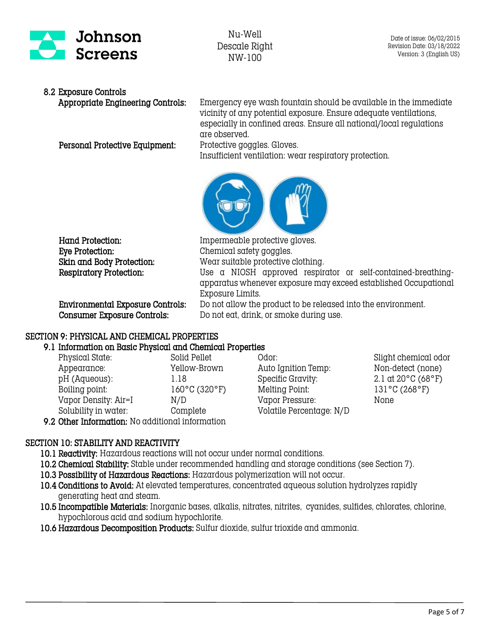

# 8.2 Exposure Controls

Personal Protective Equipment: Protective goggles. Gloves.

Appropriate Engineering Controls: Emergency eye wash fountain should be available in the immediate vicinity of any potential exposure. Ensure adequate ventilations, especially in confined areas. Ensure all national/local regulations are observed.

Insufficient ventilation: wear respiratory protection.



Hand Protection: Impermeable protective gloves. Eye Protection: Chemical safety goggles.

Skin and Body Protection: Wear suitable protective clothing. Respiratory Protection: Use a NIOSH approved respirator or self-contained-breathingapparatus whenever exposure may exceed established Occupational Exposure Limits.

 Environmental Exposure Controls: Do not allow the product to be released into the environment. Consumer Exposure Controls: Do not eat, drink, or smoke during use.

### SECTION 9: PHYSICAL AND CHEMICAL PROPERTIES

#### 9.1 Information on Basic Physical and Chemical Properties

| Physical State:                                  | Solid Pellet  |  |
|--------------------------------------------------|---------------|--|
| Appearance:                                      | Yellow-Brown  |  |
| pH (Aqueous):                                    | 1.18          |  |
| Boiling point:                                   | 160°C (320°F) |  |
| Vapor Density: Air=I                             | N/D           |  |
| Solubility in water:                             | Complete      |  |
| 9.2 Other Information: No additional information |               |  |

Physical States: Slight chemical odor: Auto Ignition Temp: Non-detect (none) Specific Gravity:  $2.1 \text{ at } 20^{\circ}$ C (68°F) Melting Point: 131°C (268°F) Vapor Pressure: None Volatile Percentage: N/D

# SECTION 10: STABILITY AND REACTIVITY

10.1 Reactivity: Hazardous reactions will not occur under normal conditions.

- 10.2 Chemical Stability: Stable under recommended handling and storage conditions (see Section 7).
- 10.3 Possibility of Hazardous Reactions: Hazardous polymerization will not occur.
- 10.4 Conditions to Avoid: At elevated temperatures, concentrated aqueous solution hydrolyzes rapidly generating heat and steam.
- 10.5 Incompatible Materials: Inorganic bases, alkalis, nitrates, nitrites, cyanides, sulfides, chlorates, chlorine, hypochlorous acid and sodium hypochlorite.
- 10.6 Hazardous Decomposition Products: Sulfur dioxide, sulfur trioxide and ammonia.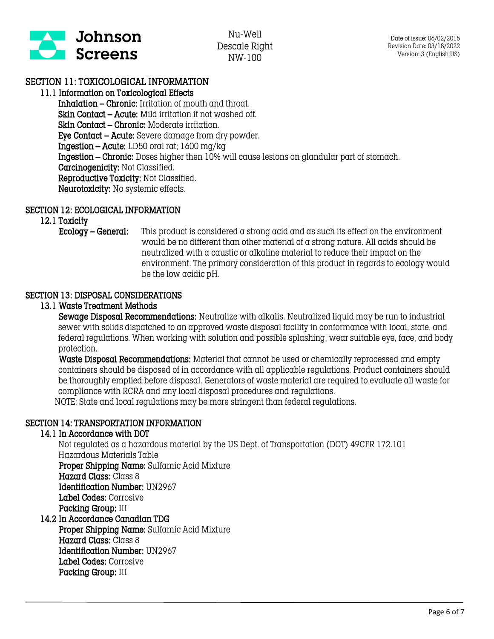

## SECTION 11: TOXICOLOGICAL INFORMATION

### 11.1 Information on Toxicological Effects

Inhalation – Chronic: Irritation of mouth and throat. Skin Contact – Acute: Mild irritation if not washed off. Skin Contact – Chronic: Moderate irritation. Eye Contact – Acute: Severe damage from dry powder. Ingestion – Acute: LD50 oral rat; 1600 mg/kg Ingestion – Chronic: Doses higher then 10% will cause lesions on glandular part of stomach. Carcinogenicity: Not Classified. Reproductive Toxicity: Not Classified. Neurotoxicity: No systemic effects.

#### SECTION 12: ECOLOGICAL INFORMATION

12.1 Toxicity

Ecology – General: This product is considered a strong acid and as such its effect on the environment would be no different than other material of a strong nature. All acids should be neutralized with a caustic or alkaline material to reduce their impact on the environment. The primary consideration of this product in regards to ecology would be the low acidic pH.

### SECTION 13: DISPOSAL CONSIDERATIONS

### 13.1 Waste Treatment Methods

 Sewage Disposal Recommendations: Neutralize with alkalis. Neutralized liquid may be run to industrial sewer with solids dispatched to an approved waste disposal facility in conformance with local, state, and federal regulations. When working with solution and possible splashing, wear suitable eye, face, and body protection.

 Waste Disposal Recommendations: Material that cannot be used or chemically reprocessed and empty containers should be disposed of in accordance with all applicable regulations. Product containers should be thoroughly emptied before disposal. Generators of waste material are required to evaluate all waste for compliance with RCRA and any local disposal procedures and regulations. NOTE: State and local regulations may be more stringent than federal regulations.

# SECTION 14: TRANSPORTATION INFORMATION

#### 14.1 In Accordance with DOT

Not regulated as a hazardous material by the US Dept. of Transportation (DOT) 49CFR 172.101 Hazardous Materials Table Proper Shipping Name: Sulfamic Acid Mixture Hazard Class: Class 8

 Identification Number: UN2967 Label Codes: Corrosive Packing Group: III

#### 14.2 In Accordance Canadian TDG Proper Shipping Name: Sulfamic Acid Mixture Hazard Class: Class 8 Identification Number: UN2967 Label Codes: Corrosive

Packing Group: III